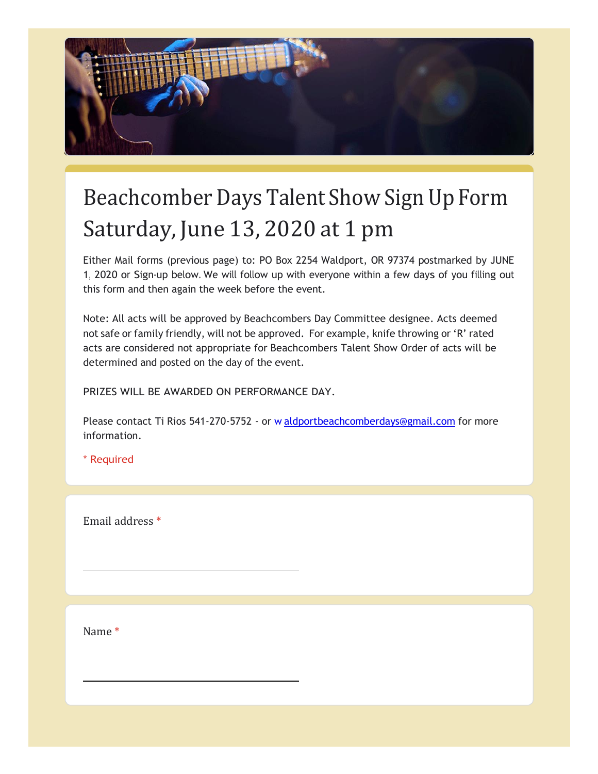

## Beachcomber Days Talent Show Sign Up Form Saturday, June 13, 2020 at 1 pm

Either Mail forms (previous page) to: PO Box 2254 Waldport, OR 97374 postmarked by JUNE 1, 2020 or Sign-up below. We will follow up with everyone within a few days of you filling out this form and then again the week before the event.

Note: All acts will be approved by Beachcombers Day Committee designee. Acts deemed not safe or family friendly, will not be approved. For example, knife throwing or 'R' rated acts are considered not appropriate for Beachcombers Talent Show Order of acts will be determined and posted on the day of the event.

PRIZES WILL BE AWARDED ON PERFORMANCE DAY.

Please contact Ti Rios 541-270-5752 - or [w](mailto:waldportbeachcomberdays@gmail.com) [aldportbeachcomberdays@gmail.com](mailto:waldportbeachcomberdays@gmail.com) for more information.

\* Required

Email address \*

Name \*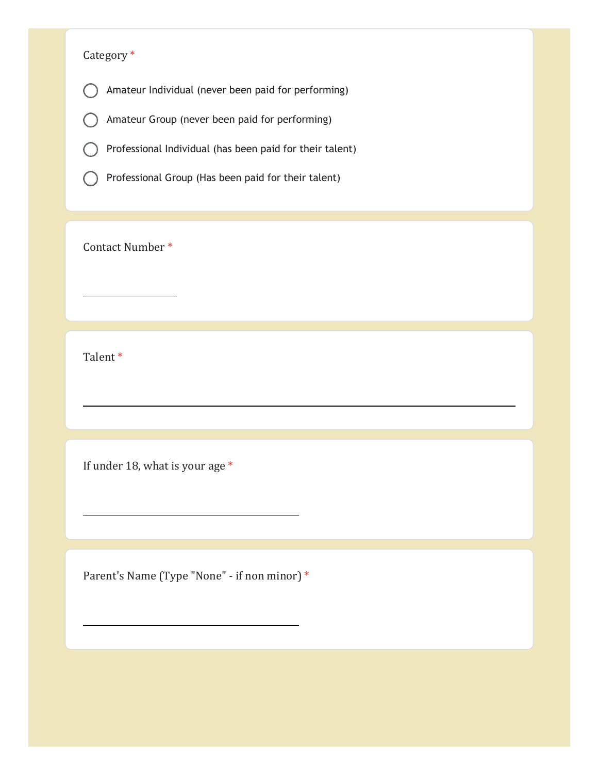## Category \*

Amateur Individual (never been paid for performing)  $\bigcap$ 

Amateur Group (never been paid for performing) C

Professional Individual (has been paid for their talent)

Professional Group (Has been paid for their talent)  $( )$ 

Contact Number \*

Talent \*

If under 18, what is your age \*

Parent's Name (Type "None" - if non minor) \*